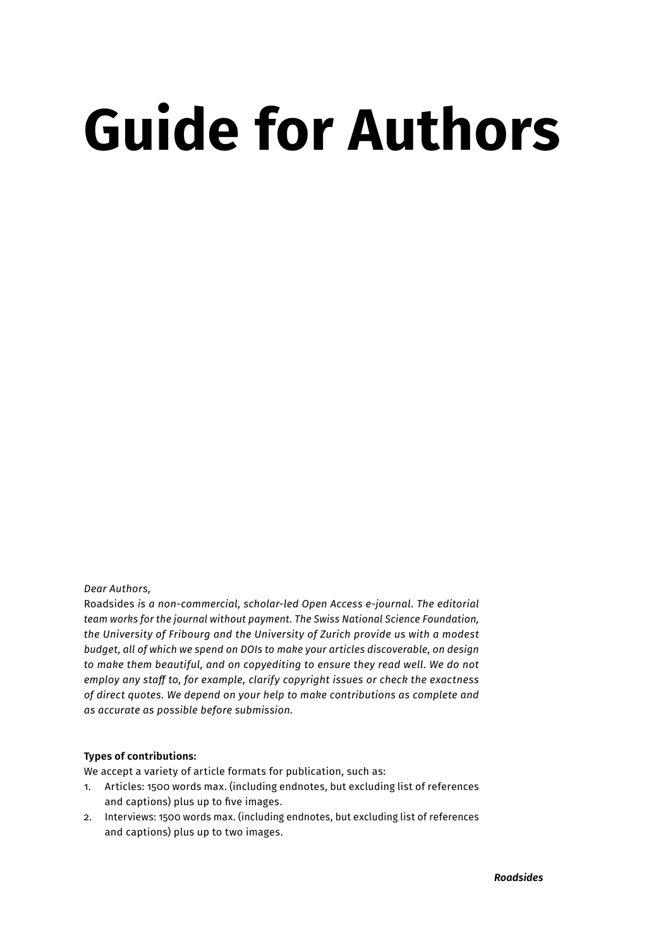# **Guide for Authors**

*Dear Authors,*

Roadsides *is a non-commercial, scholar-led Open Access e-journal. The editorial team works for the journal without payment. The Swiss National Science Foundation, the University of Fribourg and the University of Zurich provide us with a modest budget, all of which we spend on DOIs to make your articles discoverable, on design to make them beautiful, and on copyediting to ensure they read well. We do not employ any staff to, for example, clarify copyright issues or check the exactness of direct quotes. We depend on your help to make contributions as complete and as accurate as possible before submission.*

# **Types of contributions:**

We accept a variety of article formats for publication, such as:

- 1. Articles: 1500 words max. (including endnotes, but excluding list of references and captions) plus up to five images.
- 2. Interviews: 1500 words max. (including endnotes, but excluding list of references and captions) plus up to two images.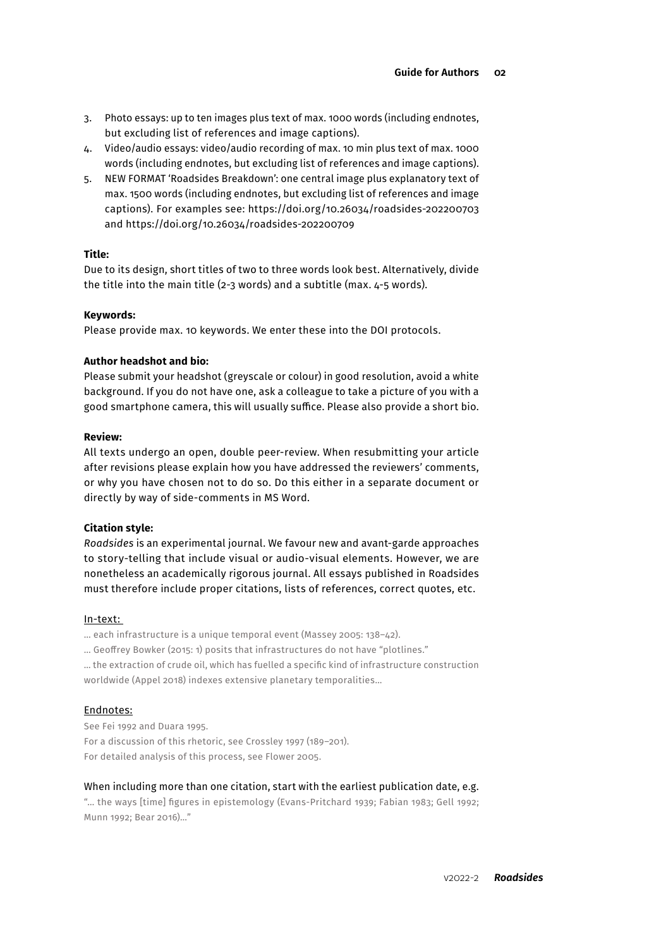- 3. Photo essays: up to ten images plus text of max. 1000 words (including endnotes, but excluding list of references and image captions).
- 4. Video/audio essays: video/audio recording of max. 10 min plus text of max. 1000 words (including endnotes, but excluding list of references and image captions).
- 5. NEW FORMAT 'Roadsides Breakdown': one central image plus explanatory text of max. 1500 words (including endnotes, but excluding list of references and image captions). For examples see: https://doi.org/10.26034/roadsides-202200703 and https://doi.org/10.26034/roadsides-202200709

#### **Title:**

Due to its design, short titles of two to three words look best. Alternatively, divide the title into the main title (2-3 words) and a subtitle (max. 4-5 words).

#### **Keywords:**

Please provide max. 10 keywords. We enter these into the DOI protocols.

#### **Author headshot and bio:**

Please submit your headshot (greyscale or colour) in good resolution, avoid a white background. If you do not have one, ask a colleague to take a picture of you with a good smartphone camera, this will usually suffice. Please also provide a short bio.

#### **Review:**

All texts undergo an open, double peer-review. When resubmitting your article after revisions please explain how you have addressed the reviewers' comments, or why you have chosen not to do so. Do this either in a separate document or directly by way of side-comments in MS Word.

#### **Citation style:**

*Roadsides* is an experimental journal. We favour new and avant-garde approaches to story-telling that include visual or audio-visual elements. However, we are nonetheless an academically rigorous journal. All essays published in Roadsides must therefore include proper citations, lists of references, correct quotes, etc.

#### In-text:

… each infrastructure is a unique temporal event (Massey 2005: 138–42).

… Geoffrey Bowker (2015: 1) posits that infrastructures do not have "plotlines."

… the extraction of crude oil, which has fuelled a specific kind of infrastructure construction worldwide (Appel 2018) indexes extensive planetary temporalities…

#### Endnotes:

See Fei 1992 and Duara 1995. For a discussion of this rhetoric, see Crossley 1997 (189–201). For detailed analysis of this process, see Flower 2005.

#### When including more than one citation, start with the earliest publication date, e.g.

"… the ways [time] figures in epistemology (Evans-Pritchard 1939; Fabian 1983; Gell 1992; Munn 1992; Bear 2016)…"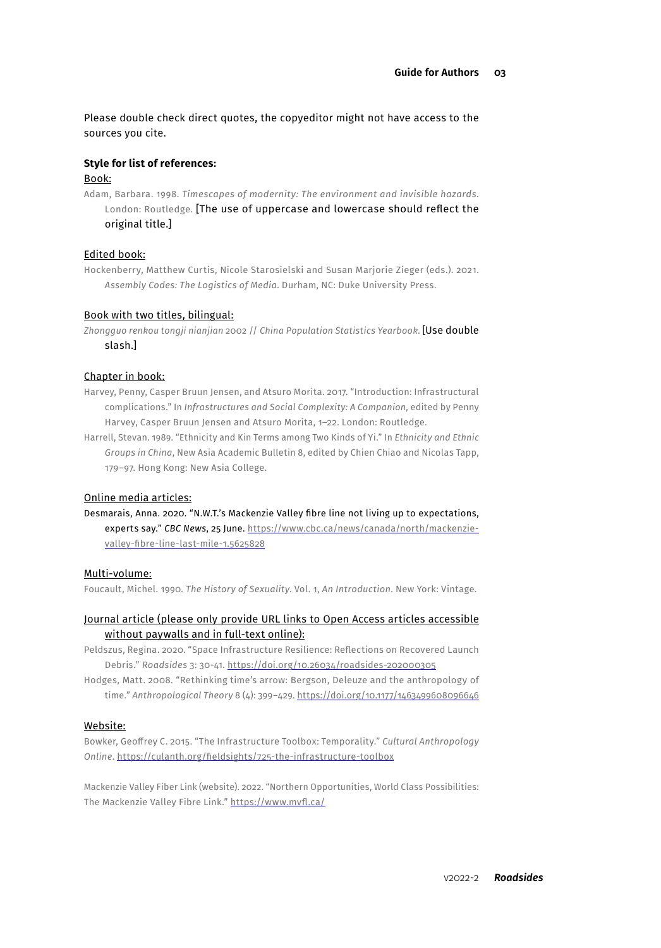Please double check direct quotes, the copyeditor might not have access to the sources you cite.

#### **Style for list of references:**

#### Book:

Adam, Barbara. 1998. *Timescapes of modernity: The environment and invisible hazards*. London: Routledge. [The use of uppercase and lowercase should reflect the original title.]

#### Edited book:

Hockenberry, Matthew Curtis, Nicole Starosielski and Susan Marjorie Zieger (eds.). 2021. *Assembly Codes: The Logistics of Media*. Durham, NC: Duke University Press.

#### Book with two titles, bilingual:

*Zhongguo renkou tongji nianjian* 2002 // *China Population Statistics Yearbook*. [Use double slash.]

## Chapter in book:

- Harvey, Penny, Casper Bruun Jensen, and Atsuro Morita. 2017. "Introduction: Infrastructural complications." In *Infrastructures and Social Complexity: A Companion*, edited by Penny Harvey, Casper Bruun Jensen and Atsuro Morita, 1–22. London: Routledge.
- Harrell, Stevan. 1989. "Ethnicity and Kin Terms among Two Kinds of Yi." In *Ethnicity and Ethnic Groups in China*, New Asia Academic Bulletin 8, edited by Chien Chiao and Nicolas Tapp, 179–97. Hong Kong: New Asia College.

#### Online media articles:

Desmarais, Anna. 2020. "N.W.T.'s Mackenzie Valley fibre line not living up to expectations, experts say." *CBC News*, 25 June. [https://www.cbc.ca/news/canada/north/mackenzie](https://www.cbc.ca/news/canada/north/mackenzie- valley-fibre-line-last-mile-1.5625828)[valley-fibre-line-last-mile-1.5625828](https://www.cbc.ca/news/canada/north/mackenzie- valley-fibre-line-last-mile-1.5625828)

#### Multi-volume:

Foucault, Michel. 1990. *The History of Sexuality*. Vol. 1, *An Introduction*. New York: Vintage.

#### Journal article (please only provide URL links to Open Access articles accessible without paywalls and in full-text online):

Peldszus, Regina. 2020. "Space Infrastructure Resilience: Reflections on Recovered Launch Debris." *Roadsides* 3: 30-41.<https://doi.org/10.26034/roadsides-202000305>

Hodges, Matt. 2008. "Rethinking time's arrow: Bergson, Deleuze and the anthropology of time." *Anthropological Theory* 8 (4): 399–429. [https://doi.org/10.1177/1463499608096646](https://journals.sagepub.com/doi/abs/10.1177/1463499608096646)

#### Website:

Bowker, Geoffrey C. 2015. "The Infrastructure Toolbox: Temporality." *Cultural Anthropology Online*. [https://culanth.org/fieldsights/725-the-infrastructure-toolbox](https://culanth.org/fieldsights/temporality)

Mackenzie Valley Fiber Link (website). 2022. "Northern Opportunities, World Class Possibilities: The Mackenzie Valley Fibre Link." <https://www.mvfl.ca/>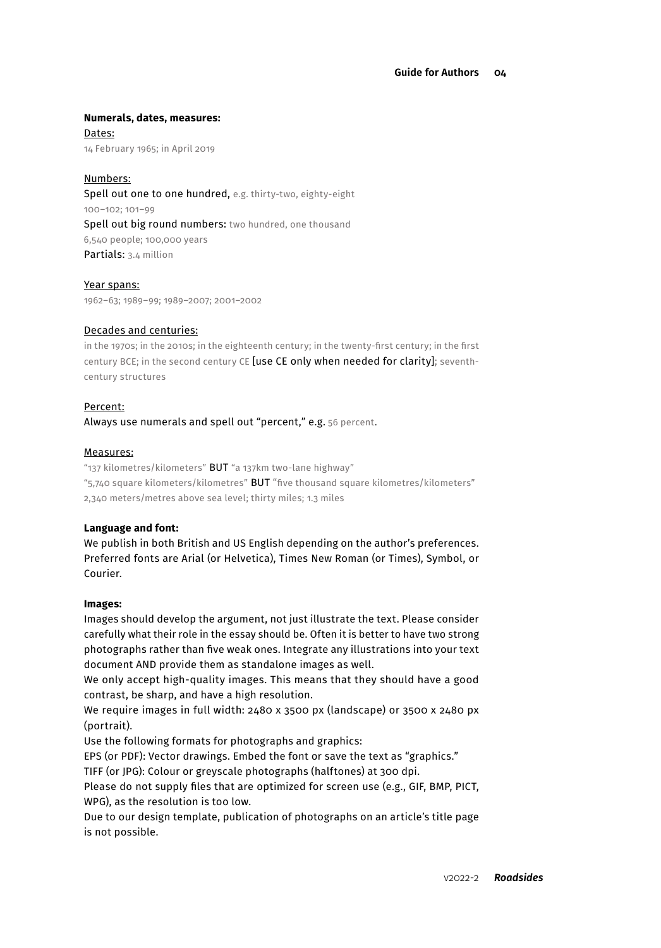#### **Numerals, dates, measures:**

Dates: 14 February 1965; in April 2019

### Numbers:

Spell out one to one hundred, e.g. thirty-two, eighty-eight 100–102; 101–99 Spell out big round numbers: two hundred, one thousand 6,540 people; 100,000 years Partials: 3.4 million

#### Year spans:

1962–63; 1989–99; 1989–2007; 2001–2002

#### Decades and centuries:

in the 1970s; in the 2010s; in the eighteenth century; in the twenty-first century; in the first century BCE; in the second century CE [use CE only when needed for clarity]; seventhcentury structures

#### Percent:

Always use numerals and spell out "percent," e.g. 56 percent.

#### Measures:

"137 kilometres/kilometers" BUT "a 137km two-lane highway" "5,740 square kilometers/kilometres" BUT "five thousand square kilometres/kilometers" 2,340 meters/metres above sea level; thirty miles; 1.3 miles

#### **Language and font:**

We publish in both British and US English depending on the author's preferences. Preferred fonts are Arial (or Helvetica), Times New Roman (or Times), Symbol, or Courier.

#### **Images:**

Images should develop the argument, not just illustrate the text. Please consider carefully what their role in the essay should be. Often it is better to have two strong photographs rather than five weak ones. Integrate any illustrations into your text document AND provide them as standalone images as well.

We only accept high-quality images. This means that they should have a good contrast, be sharp, and have a high resolution.

We require images in full width: 2480 x 3500 px (landscape) or 3500 x 2480 px (portrait).

Use the following formats for photographs and graphics:

EPS (or PDF): Vector drawings. Embed the font or save the text as "graphics."

TIFF (or JPG): Colour or greyscale photographs (halftones) at 300 dpi.

Please do not supply files that are optimized for screen use (e.g., GIF, BMP, PICT, WPG), as the resolution is too low.

Due to our design template, publication of photographs on an article's title page is not possible.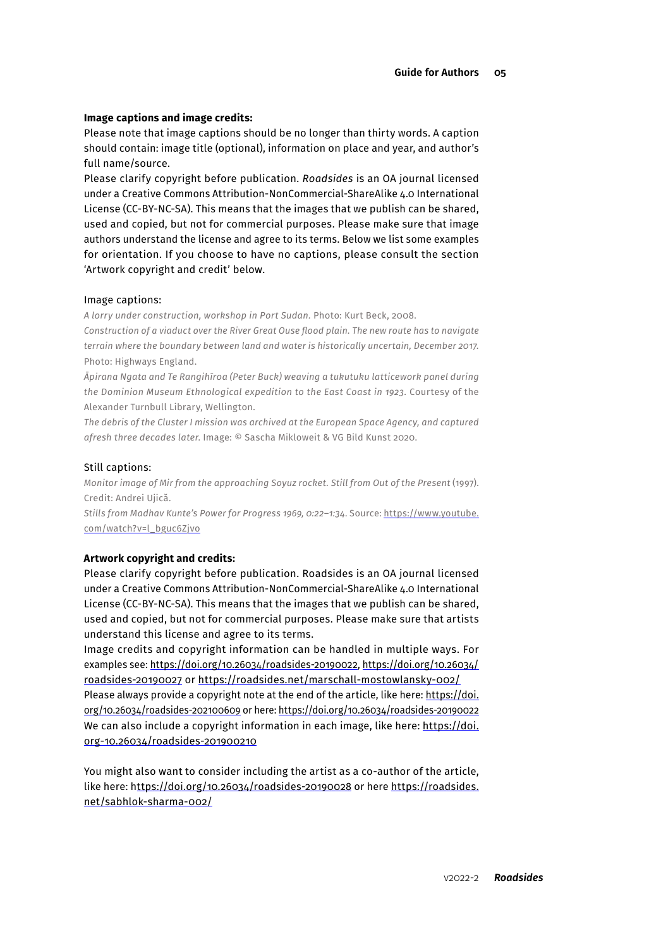#### **Image captions and image credits:**

Please note that image captions should be no longer than thirty words. A caption should contain: image title (optional), information on place and year, and author's full name/source.

Please clarify copyright before publication. *Roadsides* is an OA journal licensed under a Creative Commons Attribution-NonCommercial-ShareAlike 4.0 International License (CC-BY-NC-SA). This means that the images that we publish can be shared, used and copied, but not for commercial purposes. Please make sure that image authors understand the license and agree to its terms. Below we list some examples for orientation. If you choose to have no captions, please consult the section 'Artwork copyright and credit' below.

#### Image captions:

*A lorry under construction, workshop in Port Sudan.* Photo: Kurt Beck, 2008.

*Construction of a viaduct over the River Great Ouse flood plain. The new route has to navigate terrain where the boundary between land and water is historically uncertain, December 2017.*  Photo: Highways England.

*Āpirana Ngata and Te Rangihīroa (Peter Buck) weaving a tukutuku latticework panel during the Dominion Museum Ethnological expedition to the East Coast in 1923.* Courtesy of the Alexander Turnbull Library, Wellington.

*The debris of the Cluster I mission was archived at the European Space Agency, and captured afresh three decades later*. Image: © Sascha Mikloweit & VG Bild Kunst 2020.

#### Still captions:

*Monitor image of Mir from the approaching Soyuz rocket. Still from Out of the Present* (1997). Credit: Andrei Ujică.

*Stills from Madhav Kunte's Power for Progress 1969, 0:22–1:34*. Source: [https://www.youtube.](https://www.youtube.com/watch?v=l_bguc6Zjvo) [com/watch?v=l\\_bguc6Zjvo](https://www.youtube.com/watch?v=l_bguc6Zjvo)

#### **Artwork copyright and credits:**

Please clarify copyright before publication. Roadsides is an OA journal licensed under a Creative Commons Attribution-NonCommercial-ShareAlike 4.0 International License (CC-BY-NC-SA). This means that the images that we publish can be shared, used and copied, but not for commercial purposes. Please make sure that artists understand this license and agree to its terms.

Image credits and copyright information can be handled in multiple ways. For examples see:<https://doi.org/10.26034/roadsides-20190022>, [https://doi.org/10.26034/](https://doi.org/10.26034/roadsides-20190027) [roadsides-20190027](https://doi.org/10.26034/roadsides-20190027) or<https://roadsides.net/marschall-mostowlansky-002/>

Please always provide a copyright note at the end of the article, like here: [https://doi.](https://doi.org/10.26034/roadsides-202100609) [org/10.26034/roadsides-202100609](https://doi.org/10.26034/roadsides-202100609) or here:<https://doi.org/10.26034/roadsides-20190022> We can also include a copyright information in each image, like here: [https://doi.](https://doi.org-10.26034/roadsides-201900210) [org-10.26034/roadsides-201900210](https://doi.org-10.26034/roadsides-201900210)

You might also want to consider including the artist as a co-author of the article, like here: [https://doi.org/10.26034/roadsides-20190028](ttps://doi.org/10.26034/roadsides-20190028) or here [https://roadsides.](https://roadsides.net/sabhlok-sharma-002/) [net/sabhlok-sharma-002/](https://roadsides.net/sabhlok-sharma-002/)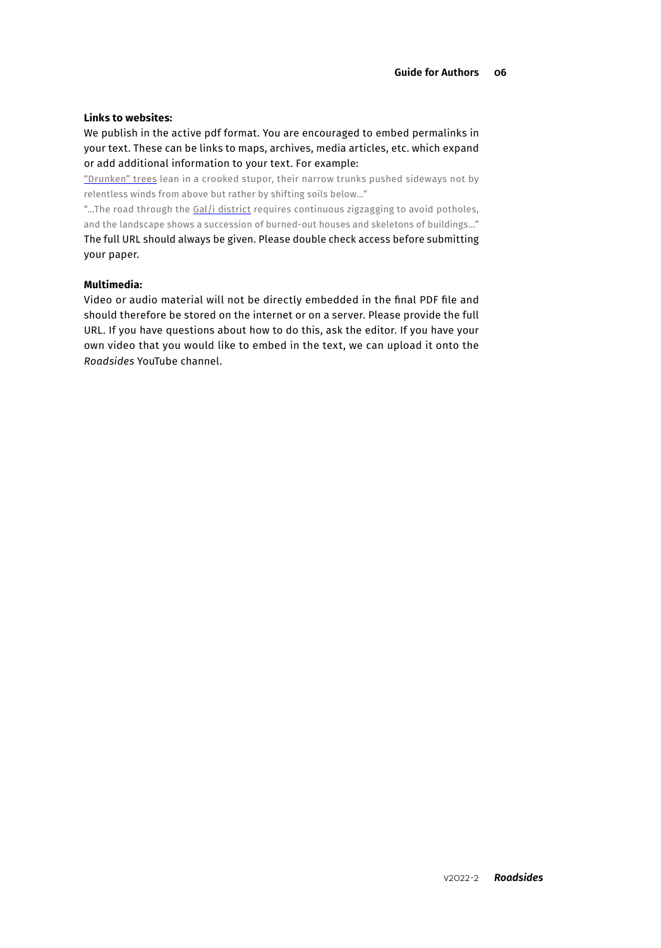#### **Links to websites:**

We publish in the active pdf format. You are encouraged to embed permalinks in your text. These can be links to maps, archives, media articles, etc. which expand or add additional information to your text. For example:

["Drunken" trees](https://news.nationalgeographic.com/news/2014/04/140417-drunken-trees-melting-permafrost-global-warming-science/) lean in a crooked stupor, their narrow trunks pushed sideways not by relentless winds from above but rather by shifting soils below…"

"...The road through the [Gal/i district](https://www.google.com/maps/place/Sochumi/@42.5983977,41.7853997,11z/data=!4m5!3m4!1s0x405f220f44f90b7d:0xe01a1045ea63bc8a!8m2!3d43.0015252!4d41.0234153) requires continuous zigzagging to avoid potholes, and the landscape shows a succession of burned-out houses and skeletons of buildings…" The full URL should always be given. Please double check access before submitting your paper.

#### **Multimedia:**

Video or audio material will not be directly embedded in the final PDF file and should therefore be stored on the internet or on a server. Please provide the full URL. If you have questions about how to do this, ask the editor. If you have your own video that you would like to embed in the text, we can upload it onto the *Roadsides* YouTube channel.